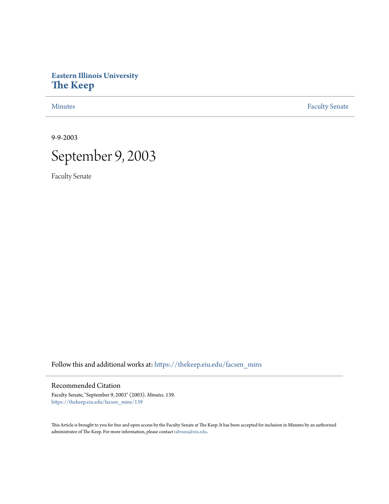# **Eastern Illinois University [The Keep](https://thekeep.eiu.edu?utm_source=thekeep.eiu.edu%2Ffacsen_mins%2F139&utm_medium=PDF&utm_campaign=PDFCoverPages)**

[Minutes](https://thekeep.eiu.edu/facsen_mins?utm_source=thekeep.eiu.edu%2Ffacsen_mins%2F139&utm_medium=PDF&utm_campaign=PDFCoverPages) **[Faculty Senate](https://thekeep.eiu.edu/fac_senate?utm_source=thekeep.eiu.edu%2Ffacsen_mins%2F139&utm_medium=PDF&utm_campaign=PDFCoverPages)** 

9-9-2003



Faculty Senate

Follow this and additional works at: [https://thekeep.eiu.edu/facsen\\_mins](https://thekeep.eiu.edu/facsen_mins?utm_source=thekeep.eiu.edu%2Ffacsen_mins%2F139&utm_medium=PDF&utm_campaign=PDFCoverPages)

## Recommended Citation

Faculty Senate, "September 9, 2003" (2003). *Minutes*. 139. [https://thekeep.eiu.edu/facsen\\_mins/139](https://thekeep.eiu.edu/facsen_mins/139?utm_source=thekeep.eiu.edu%2Ffacsen_mins%2F139&utm_medium=PDF&utm_campaign=PDFCoverPages)

This Article is brought to you for free and open access by the Faculty Senate at The Keep. It has been accepted for inclusion in Minutes by an authorized administrator of The Keep. For more information, please contact [tabruns@eiu.edu.](mailto:tabruns@eiu.edu)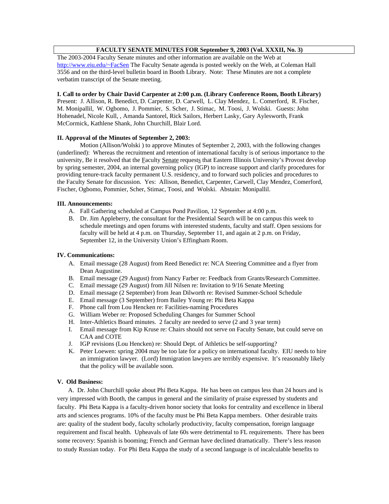# **FACULTY SENATE MINUTES FOR September 9, 2003 (Vol. XXXII, No. 3)**

The 2003-2004 Faculty Senate minutes and other information are available on the Web at http://www.eiu.edu/~FacSen The Faculty Senate agenda is posted weekly on the Web, at Coleman Hall 3556 and on the third-level bulletin board in Booth Library. Note: These Minutes are not a complete verbatim transcript of the Senate meeting.

## **I. Call to order by Chair David Carpenter at 2:00 p.m. (Library Conference Room, Booth Library)**

Present: J. Allison, R. Benedict, D. Carpenter, D. Carwell, L. Clay Mendez, L. Comerford, R. Fischer, M. Monipallil, W. Ogbomo, J. Pommier, S. Scher, J. Stimac, M. Toosi, J. Wolski. Guests: John Hohenadel, Nicole Kull, , Amanda Santorel, Rick Sailors, Herbert Lasky, Gary Aylesworth, Frank McCormick, Kathlene Shank, John Churchill, Blair Lord.

## **II. Approval of the Minutes of September 2, 2003:**

Motion (Allison/Wolski ) to approve Minutes of September 2, 2003, with the following changes (underlined): Whereas the recruitment and retention of international faculty is of serious importance to the university, Be it resolved that the Faculty Senate requests that Eastern Illinois University's Provost develop by spring semester, 2004, an internal governing policy (IGP) to increase support and clarify procedures for providing tenure-track faculty permanent U.S. residency, and to forward such policies and procedures to the Faculty Senate for discussion. Yes: Allison, Benedict, Carpenter, Carwell, Clay Mendez, Comerford, Fischer, Ogbomo, Pommier, Scher, Stimac, Toosi, and Wolski. Abstain: Monipallil.

#### **III. Announcements:**

- A. Fall Gathering scheduled at Campus Pond Pavilion, 12 September at 4:00 p.m.
- B. Dr. Jim Appleberry, the consultant for the Presidential Search will be on campus this week to schedule meetings and open forums with interested students, faculty and staff. Open sessions for faculty will be held at 4 p.m. on Thursday, September 11, and again at 2 p.m. on Friday, September 12, in the University Union's Effingham Room.

#### **IV. Communications:**

- A. Email message (28 August) from Reed Benedict re: NCA Steering Committee and a flyer from Dean Augustine.
- B. Email message (29 August) from Nancy Farber re: Feedback from Grants/Research Committee.
- C. Email message (29 August) from Jill Nilsen re: Invitation to 9/16 Senate Meeting
- D. Email message (2 September) from Jean Dilworth re: Revised Summer-School Schedule
- E. Email message (3 September) from Bailey Young re: Phi Beta Kappa
- F. Phone call from Lou Hencken re: Facilities-naming Procedures
- G. William Weber re: Proposed Scheduling Changes for Summer School
- H. Inter-Athletics Board minutes. 2 faculty are needed to serve (2 and 3 year term)
- I. Email message from Kip Kruse re: Chairs should not serve on Faculty Senate, but could serve on CAA and COTE
- J. IGP revisions (Lou Hencken) re: Should Dept. of Athletics be self-supporting?
- K. Peter Loewen: spring 2004 may be too late for a policy on international faculty. EIU needs to hire an immigration lawyer. (Lord) Immigration lawyers are terribly expensive. It's reasonably likely that the policy will be available soon.

## **V. Old Business:**

 A. Dr. John Churchill spoke about Phi Beta Kappa. He has been on campus less than 24 hours and is very impressed with Booth, the campus in general and the similarity of praise expressed by students and faculty. Phi Beta Kappa is a faculty-driven honor society that looks for centrality and excellence in liberal arts and sciences programs. 10% of the faculty must be Phi Beta Kappa members. Other desirable traits are: quality of the student body, faculty scholarly productivity, faculty compensation, foreign language requirement and fiscal health. Upheavals of late 60s were detrimental to FL requirements. There has been some recovery: Spanish is booming; French and German have declined dramatically. There's less reason to study Russian today. For Phi Beta Kappa the study of a second language is of incalculable benefits to